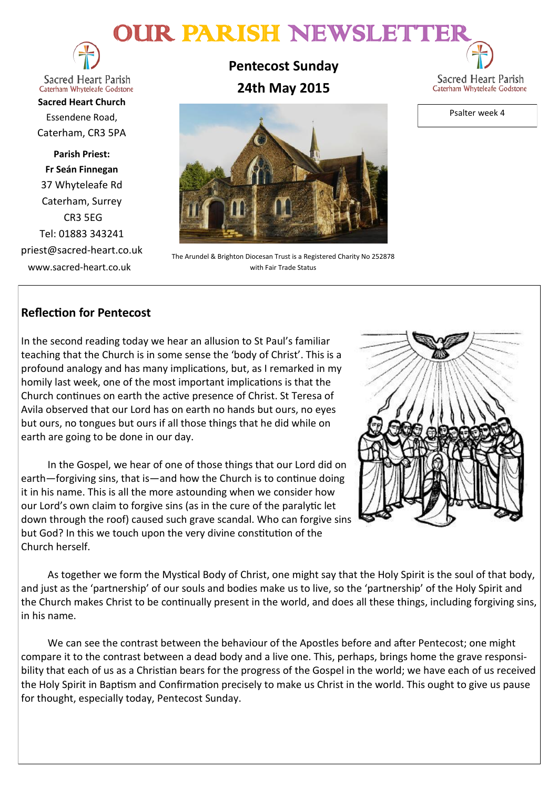# OUR PARISH NEWSLETTE



Sacred Heart Parish Caterham Whyteleafe Godstone

**Sacred Heart Church** Essendene Road, Caterham, CR3 5PA

**Parish Priest: Fr Seán Finnegan** 37 Whyteleafe Rd Caterham, Surrey CR3 5EG Tel: 01883 343241 priest@sacred-heart.co.uk www.sacred-heart.co.uk

**Pentecost Sunday 24th May 2015**



Psalter week 4



The Arundel & Brighton Diocesan Trust is a Registered Charity No 252878 with Fair Trade Status

# **Reflection for Pentecost**

In the second reading today we hear an allusion to St Paul's familiar teaching that the Church is in some sense the 'body of Christ'. This is a profound analogy and has many implications, but, as I remarked in my homily last week, one of the most important implications is that the Church continues on earth the active presence of Christ. St Teresa of Avila observed that our Lord has on earth no hands but ours, no eyes but ours, no tongues but ours if all those things that he did while on earth are going to be done in our day.

In the Gospel, we hear of one of those things that our Lord did on earth—forgiving sins, that is—and how the Church is to continue doing it in his name. This is all the more astounding when we consider how our Lord's own claim to forgive sins (as in the cure of the paralytic let down through the roof) caused such grave scandal. Who can forgive sins but God? In this we touch upon the very divine constitution of the Church herself.



As together we form the Mystical Body of Christ, one might say that the Holy Spirit is the soul of that body, and just as the 'partnership' of our souls and bodies make us to live, so the 'partnership' of the Holy Spirit and the Church makes Christ to be continually present in the world, and does all these things, including forgiving sins, in his name.

We can see the contrast between the behaviour of the Apostles before and after Pentecost; one might compare it to the contrast between a dead body and a live one. This, perhaps, brings home the grave responsibility that each of us as a Christian bears for the progress of the Gospel in the world; we have each of us received the Holy Spirit in Baptism and Confirmation precisely to make us Christ in the world. This ought to give us pause for thought, especially today, Pentecost Sunday.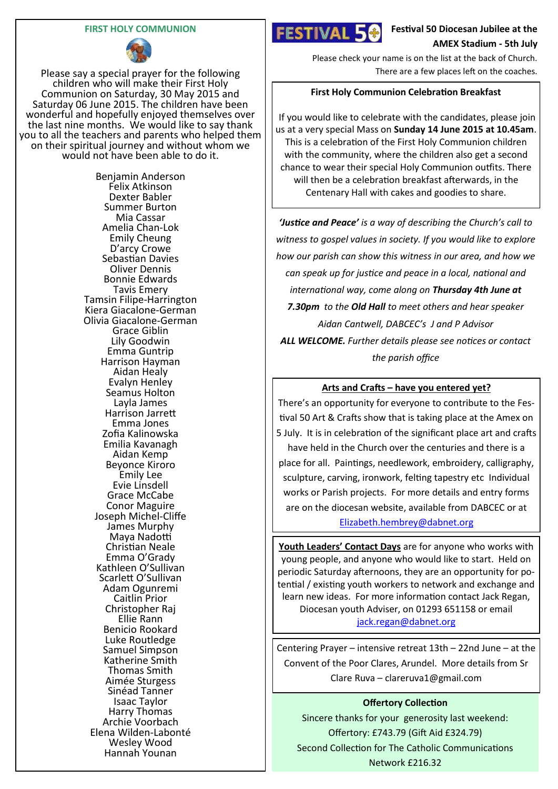#### **FIRST HOLY COMMUNION**



Please say a special prayer for the following children who will make their First Holy Communion on Saturday, 30 May 2015 and Saturday 06 June 2015. The children have been wonderful and hopefully enjoyed themselves over the last nine months. We would like to say thank you to all the teachers and parents who helped them on their spiritual journey and without whom we would not have been able to do it.

> Benjamin Anderson Felix Atkinson Dexter Babler Summer Burton Mia Cassar Amelia Chan-Lok Emily Cheung D'arcy Crowe Sebastian Davies Oliver Dennis Bonnie Edwards Tavis Emery Tamsin Filipe-Harrington Kiera Giacalone-German Olivia Giacalone-German Grace Giblin Lily Goodwin Emma Guntrip Harrison Hayman Aidan Healy Evalyn Henley Seamus Holton Layla James Harrison Jarrett Emma Jones Zofia Kalinowska Emilia Kavanagh Aidan Kemp Beyonce Kiroro Emily Lee Evie Linsdell Grace McCabe Conor Maguire Joseph Michel-Cliffe James Murphy Maya Nadotti Christian Neale Emma O'Grady Kathleen O'Sullivan Scarlett O'Sullivan Adam Ogunremi Caitlin Prior Christopher Raj Ellie Rann Benicio Rookard Luke Routledge Samuel Simpson Katherine Smith Thomas Smith Aimée Sturgess Sinéad Tanner Isaac Taylor Harry Thomas Archie Voorbach Elena Wilden-Labonté Wesley Wood Hannah Younan



**Festival 50 Diocesan Jubilee at the AMEX Stadium - 5th July**

Please check your name is on the list at the back of Church. There are a few places left on the coaches.

#### **First Holy Communion Celebration Breakfast**

If you would like to celebrate with the candidates, please join us at a very special Mass on **Sunday 14 June 2015 at 10.45am**. This is a celebration of the First Holy Communion children with the community, where the children also get a second chance to wear their special Holy Communion outfits. There will then be a celebration breakfast afterwards, in the Centenary Hall with cakes and goodies to share.

*'Justice and Peace' is a way of describing the Church's call to witness to gospel values in society. If you would like to explore how our parish can show this witness in our area, and how we can speak up for justice and peace in a local, national and international way, come along on Thursday 4th June at 7.30pm to the Old Hall to meet others and hear speaker Aidan Cantwell, DABCEC's J and P Advisor ALL WELCOME. Further details please see notices or contact the parish office*

#### **Arts and Crafts – have you entered yet?**

There's an opportunity for everyone to contribute to the Festival 50 Art & Crafts show that is taking place at the Amex on 5 July. It is in celebration of the significant place art and crafts have held in the Church over the centuries and there is a place for all. Paintings, needlework, embroidery, calligraphy, sculpture, carving, ironwork, felting tapestry etc Individual works or Parish projects. For more details and entry forms are on the diocesan website, available from DABCEC or at [Elizabeth.hembrey@dabnet.org](mailto:Elizabeth.hembrey@dabnet.org)

**Youth Leaders' Contact Days** are for anyone who works with young people, and anyone who would like to start. Held on periodic Saturday afternoons, they are an opportunity for potential / existing youth workers to network and exchange and learn new ideas. For more information contact Jack Regan, Diocesan youth Adviser, on 01293 651158 or email [jack.regan@dabnet.org](mailto:jack.regan@dabnet.org)

Centering Prayer – intensive retreat 13th – 22nd June – at the Convent of the Poor Clares, Arundel. More details from Sr Clare Ruva – clareruva1@gmail.com

#### **Offertory Collection**

Sincere thanks for your generosity last weekend: Offertory: £743.79 (Gift Aid £324.79) Second Collection for The Catholic Communications Network £216.32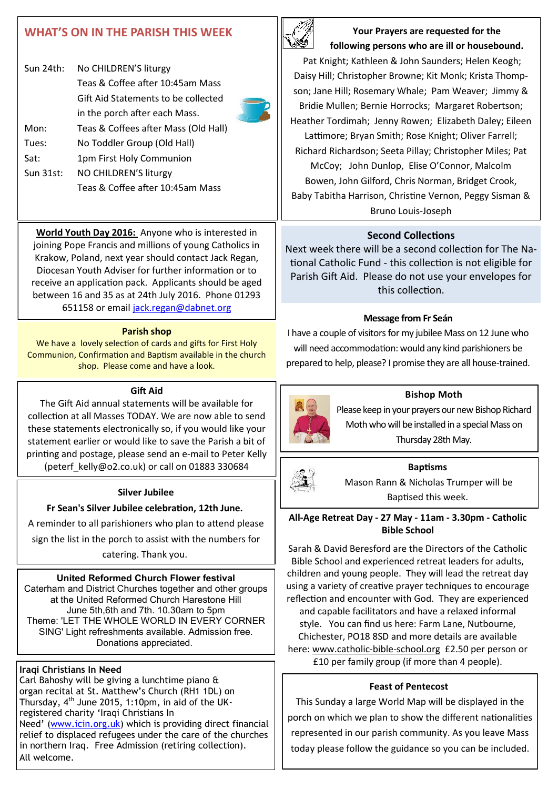# **WHAT'S ON IN THE PARISH THIS WEEK**

| Sun $24$ th: | No CHILDREN'S liturgy                |  |
|--------------|--------------------------------------|--|
|              | Teas & Coffee after 10:45am Mass     |  |
|              | Gift Aid Statements to be collected  |  |
|              | in the porch after each Mass.        |  |
| Mon:         | Teas & Coffees after Mass (Old Hall) |  |
| Tues:        | No Toddler Group (Old Hall)          |  |
| Sat:         | 1pm First Holy Communion             |  |
| Sun 31st:    | NO CHILDREN'S liturgy                |  |
|              | Teas & Coffee after 10:45am Mass     |  |

**World Youth Day 2016:** Anyone who is interested in joining Pope Francis and millions of young Catholics in Krakow, Poland, next year should contact Jack Regan, Diocesan Youth Adviser for further information or to receive an application pack. Applicants should be aged between 16 and 35 as at 24th July 2016. Phone 01293 651158 or email [jack.regan@dabnet.org](mailto:jack.regan@dabnet.org)

#### **Parish shop**

We have a lovely selection of cards and gifts for First Holy Communion, Confirmation and Baptism available in the church shop. Please come and have a look.

#### **Gift Aid**

The Gift Aid annual statements will be available for collection at all Masses TODAY. We are now able to send these statements electronically so, if you would like your statement earlier or would like to save the Parish a bit of printing and postage, please send an e-mail to Peter Kelly (peterf\_kelly@o2.co.uk) or call on 01883 330684

#### **Silver Jubilee**

**Fr Sean's Silver Jubilee celebration, 12th June.**

A reminder to all parishioners who plan to attend please

sign the list in the porch to assist with the numbers for

catering. Thank you.

## **United Reformed Church Flower festival**

Caterham and District Churches together and other groups at the United Reformed Church Harestone Hill June 5th,6th and 7th. 10.30am to 5pm Theme: 'LET THE WHOLE WORLD IN EVERY CORNER SING' Light refreshments available. Admission free. Donations appreciated.

## **Iraqi Christians In Need**

Carl Bahoshy will be giving a lunchtime piano & organ recital at St. Matthew's Church (RH1 1DL) on Thursday,  $4<sup>th</sup>$  June 2015, 1:10pm, in aid of the UKregistered charity 'Iraqi Christians In Need' ([www.icin.org.uk\)](http://www.icin.org.uk/) which is providing direct financial relief to displaced refugees under the care of the churches in northern Iraq. Free Admission (retiring collection). All welcome.



**Your Prayers are requested for the following persons who are ill or housebound.** 

Pat Knight; Kathleen & John Saunders; Helen Keogh; Daisy Hill; Christopher Browne; Kit Monk; Krista Thompson; Jane Hill; Rosemary Whale; Pam Weaver; Jimmy & Bridie Mullen; Bernie Horrocks; Margaret Robertson; Heather Tordimah; Jenny Rowen; Elizabeth Daley; Eileen Lattimore; Bryan Smith; Rose Knight; Oliver Farrell; Richard Richardson; Seeta Pillay; Christopher Miles; Pat McCoy; John Dunlop, Elise O'Connor, Malcolm Bowen, John Gilford, Chris Norman, Bridget Crook, Baby Tabitha Harrison, Christine Vernon, Peggy Sisman & Bruno Louis-Joseph

### **Second Collections**

Next week there will be a second collection for The National Catholic Fund - this collection is not eligible for Parish Gift Aid. Please do not use your envelopes for this collection.

#### **Message from Fr Seán**

I have a couple of visitors for my jubilee Mass on 12 June who will need accommodation: would any kind parishioners be prepared to help, please? I promise they are all house-trained.



#### **Bishop Moth**

Please keep in your prayers our new Bishop Richard Moth who will be installed in a special Mass on Thursday 28th May.



#### **Baptisms**

Mason Rann & Nicholas Trumper will be Baptised this week.

#### **All-Age Retreat Day - 27 May - 11am - 3.30pm - Catholic Bible School**

Sarah & David Beresford are the Directors of the Catholic Bible School and experienced retreat leaders for adults, children and young people. They will lead the retreat day using a variety of creative prayer techniques to encourage reflection and encounter with God. They are experienced and capable facilitators and have a relaxed informal style. You can find us here: Farm Lane, Nutbourne, Chichester, PO18 8SD and more details are available here: [www.catholic](http://www.catholic-bible-school.org/)-bible-school.org £2.50 per person or £10 per family group (if more than 4 people).

#### **Feast of Pentecost**

This Sunday a large World Map will be displayed in the porch on which we plan to show the different nationalities represented in our parish community. As you leave Mass today please follow the guidance so you can be included.